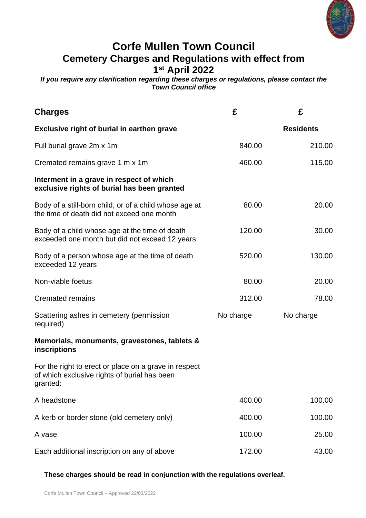

# **Corfe Mullen Town Council Cemetery Charges and Regulations with effect from 1 st April 2022**

*If you require any clarification regarding these charges or regulations, please contact the Town Council office*

| <b>Charges</b>                                                                                                    | £         | £                |
|-------------------------------------------------------------------------------------------------------------------|-----------|------------------|
| Exclusive right of burial in earthen grave                                                                        |           | <b>Residents</b> |
| Full burial grave 2m x 1m                                                                                         | 840.00    | 210.00           |
| Cremated remains grave 1 m x 1 m                                                                                  | 460.00    | 115.00           |
| Interment in a grave in respect of which<br>exclusive rights of burial has been granted                           |           |                  |
| Body of a still-born child, or of a child whose age at<br>the time of death did not exceed one month              | 80.00     | 20.00            |
| Body of a child whose age at the time of death<br>exceeded one month but did not exceed 12 years                  | 120.00    | 30.00            |
| Body of a person whose age at the time of death<br>exceeded 12 years                                              | 520.00    | 130.00           |
| Non-viable foetus                                                                                                 | 80.00     | 20.00            |
| <b>Cremated remains</b>                                                                                           | 312.00    | 78.00            |
| Scattering ashes in cemetery (permission<br>required)                                                             | No charge | No charge        |
| Memorials, monuments, gravestones, tablets &<br>inscriptions                                                      |           |                  |
| For the right to erect or place on a grave in respect<br>of which exclusive rights of burial has been<br>granted: |           |                  |
| A headstone                                                                                                       | 400.00    | 100.00           |
| A kerb or border stone (old cemetery only)                                                                        | 400.00    | 100.00           |
| A vase                                                                                                            | 100.00    | 25.00            |
| Each additional inscription on any of above                                                                       | 172.00    | 43.00            |

# **These charges should be read in conjunction with the regulations overleaf.**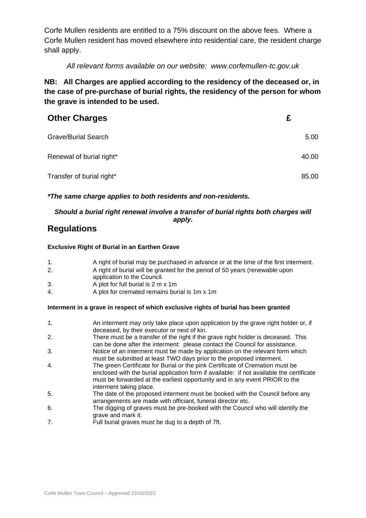Corfe Mullen residents are entitled to a 75% discount on the above fees. Where a Corfe Mullen resident has moved elsewhere into residential care, the resident charge shall apply.

# *All relevant forms available on our website: www.corfemullen-tc.gov.uk*

**NB: All Charges are applied according to the residency of the deceased or, in the case of pre-purchase of burial rights, the residency of the person for whom the grave is intended to be used.**

| <b>Other Charges</b>       |       |
|----------------------------|-------|
| <b>Grave/Burial Search</b> | 5.00  |
| Renewal of burial right*   | 40.00 |
| Transfer of burial right*  | 85.00 |

## *\*The same charge applies to both residents and non-residents.*

## *Should a burial right renewal involve a transfer of burial rights both charges will apply.*

# **Regulations**

### **Exclusive Right of Burial in an Earthen Grave**

- 1. A right of burial may be purchased in advance or at the time of the first interment.
- 2. A right of burial will be granted for the period of 50 years (renewable upon application to the Council.
- 3. A plot for full burial is 2 m x 1m
- 4. A plot for cremated remains burial is 1m x 1m

## **Interment in a grave in respect of which exclusive rights of burial has been granted**

- 1. An interment may only take place upon application by the grave right holder or, if deceased, by their executor or next of kin.
- 2. There must be a transfer of the right if the grave right holder is deceased. This can be done after the interment: please contact the Council for assistance.
- 3. Notice of an interment must be made by application on the relevant form which must be submitted at least TWO days prior to the proposed interment.
- 4. The green Certificate for Burial or the pink Certificate of Cremation must be enclosed with the burial application form if available: if not available the certificate must be forwarded at the earliest opportunity and in any event PRIOR to the interment taking place.
- 5. The date of the proposed interment must be booked with the Council before any arrangements are made with officiant, funeral director etc.
- 6. The digging of graves must be pre-booked with the Council who will identify the grave and mark it.
- 7. Full burial graves must be dug to a depth of 7ft.